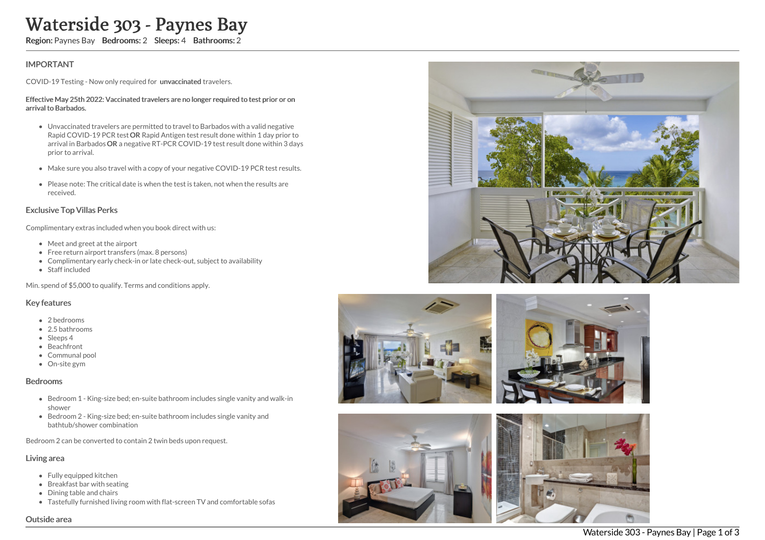# Waterside 303 - Paynes Bay

Region: Paynes Bay Bedrooms: 2 Sleeps: 4 Bathrooms: 2

## IMPORTANT

COVID-19 Testing - Now only required for unvaccinated travelers.

#### Effective May 25th 2022: Vaccinated travelers are no longer required to test prior or on arrival to Barbados.

- Unvaccinated travelers are permitted to travel to Barbados with a valid negative Rapid COVID-19 PCR test OR Rapid Antigen test result done within 1 day prior to arrival in Barbados OR a negative RT-PCR COVID-19 test result done within 3 days prior to arrival.
- Make sure you also travel with a copy of your negative COVID-19 PCR test results.
- Please note: The critical date is when the test is taken, not when the results are received.

#### Exclusive Top Villas Perks

Complimentary extras included when you book direct with us:

- Meet and greet at the airport
- Free return airport transfers (max. 8 persons)
- Complimentary early check-in or late check-out, subject to availability
- Staff included

Min. spend of \$5,000 to qualify. Terms and conditions apply.

#### Key features

- 2 bedrooms
- 2.5 bathrooms
- Sleeps 4
- Beachfront
- Communal pool
- On-site gym

#### Bedrooms

- Bedroom 1 King-size bed; en-suite bathroom includes single vanity and walk-in shower
- Bedroom 2 King-size bed; en-suite bathroom includes single vanity and bathtub/shower combination

Bedroom 2 can be converted to contain 2 twin beds upon request.

#### Living area

Outside area

- Fully equipped kitchen
- Breakfast bar with seating
- Dining table and chairs
- Tastefully furnished living room with flat-screen TV and comfortable sofas









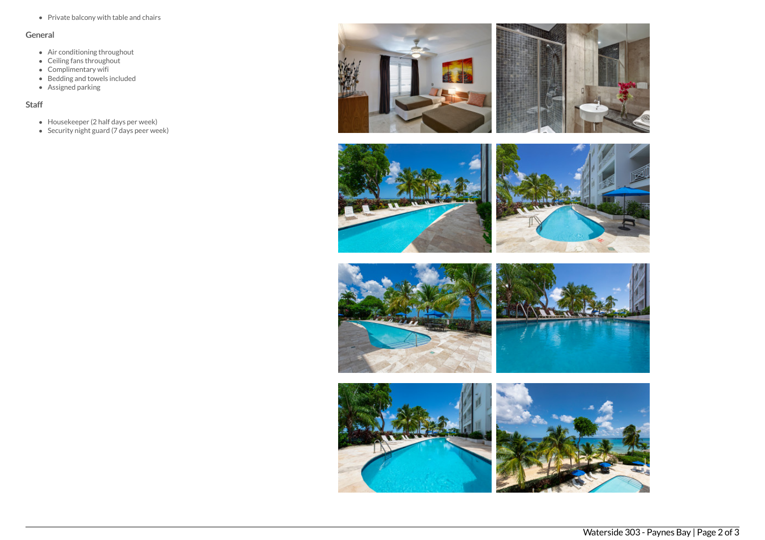• Private balcony with table and chairs

## General

- Air conditioning throughout
- Ceiling fans throughout
- Complimentary wifi
- Bedding and towels included
- Assigned parking

# Staff

- Housekeeper (2 half days per week)
- $\bullet$  Security night guard (7 days peer week)